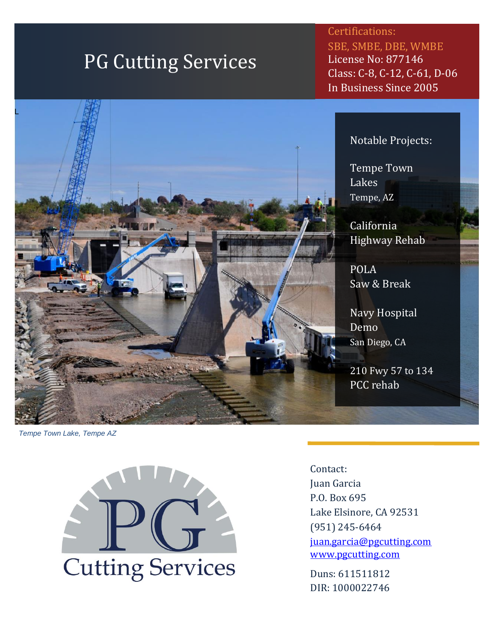# PG Cutting Services

Certifications: SBE, SMBE, DBE, WMBE License No: 877146 Class: C-8, C-12, C-61, D-06 In Business Since 2005

#### Notable Projects:

Tempe Town Lakes Tempe, AZ

California Highway Rehab

POLA Saw & Break

Navy Hospital Demo San Diego, CA

210 Fwy 57 to 134 PCC rehab

*Tempe Town Lake, Tempe AZ*



Contact: Juan Garcia P.O. Box 695 Lake Elsinore, CA 92531 (951) 245-6464 [juan.garcia@pgcutting.com](mailto:juan.garcia@pgcutting.com) [www.pgcutting.com](http://www.pgcutting.com/)

Duns: 611511812 DIR: 1000022746